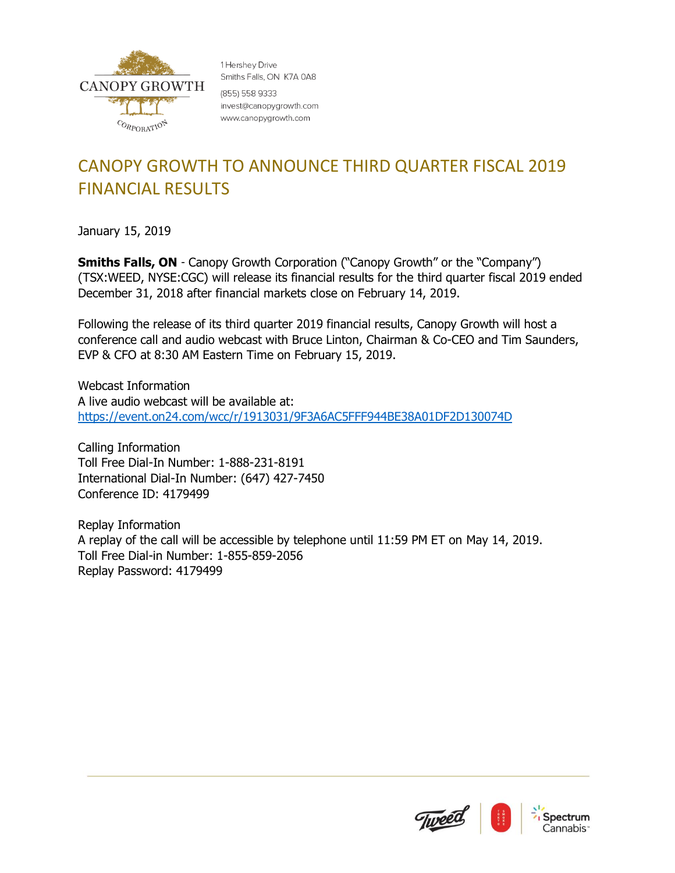

1 Hershev Drive Smiths Falls, ON K7A 0A8 (855) 558 9333 invest@canopygrowth.com www.canopygrowth.com

## CANOPY GROWTH TO ANNOUNCE THIRD QUARTER FISCAL 2019 FINANCIAL RESULTS

January 15, 2019

**Smiths Falls, ON** - Canopy Growth Corporation ("Canopy Growth" or the "Company") (TSX:WEED, NYSE:CGC) will release its financial results for the third quarter fiscal 2019 ended December 31, 2018 after financial markets close on February 14, 2019.

Following the release of its third quarter 2019 financial results, Canopy Growth will host a conference call and audio webcast with Bruce Linton, Chairman & Co-CEO and Tim Saunders, EVP & CFO at 8:30 AM Eastern Time on February 15, 2019.

Webcast Information A live audio webcast will be available at: <https://event.on24.com/wcc/r/1913031/9F3A6AC5FFF944BE38A01DF2D130074D>

Calling Information Toll Free Dial-In Number: 1-888-231-8191 International Dial-In Number: (647) 427-7450 Conference ID: 4179499

Replay Information A replay of the call will be accessible by telephone until 11:59 PM ET on May 14, 2019. Toll Free Dial-in Number: 1-855-859-2056 Replay Password: 4179499